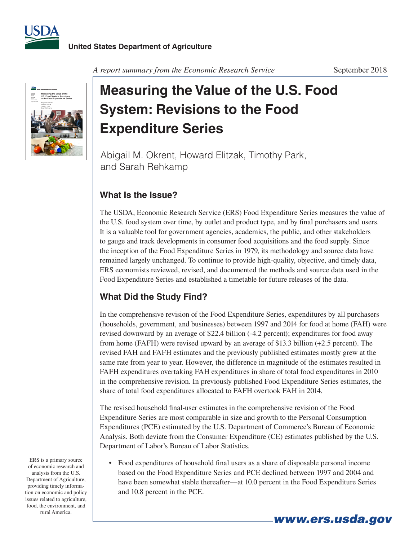



*A report summary from the Economic Research Service* September 2018

## **Measuring the Value of the U.S. Food System: Revisions to the Food Expenditure Series**

Abigail M. Okrent, Howard Elitzak, Timothy Park, and Sarah Rehkamp

## **What Is the Issue?**

The USDA, Economic Research Service (ERS) Food Expenditure Series measures the value of the U.S. food system over time, by outlet and product type, and by final purchasers and users. It is a valuable tool for government agencies, academics, the public, and other stakeholders to gauge and track developments in consumer food acquisitions and the food supply. Since the inception of the Food Expenditure Series in 1979, its methodology and source data have remained largely unchanged. To continue to provide high-quality, objective, and timely data, ERS economists reviewed, revised, and documented the methods and source data used in the Food Expenditure Series and established a timetable for future releases of the data.

## **What Did the Study Find?**

In the comprehensive revision of the Food Expenditure Series, expenditures by all purchasers (households, government, and businesses) between 1997 and 2014 for food at home (FAH) were revised downward by an average of \$22.4 billion (-4.2 percent); expenditures for food away from home (FAFH) were revised upward by an average of \$13.3 billion (+2.5 percent). The revised FAH and FAFH estimates and the previously published estimates mostly grew at the same rate from year to year. However, the difference in magnitude of the estimates resulted in FAFH expenditures overtaking FAH expenditures in share of total food expenditures in 2010 in the comprehensive revision. In previously published Food Expenditure Series estimates, the share of total food expenditures allocated to FAFH overtook FAH in 2014.

The revised household final-user estimates in the comprehensive revision of the Food Expenditure Series are most comparable in size and growth to the Personal Consumption Expenditures (PCE) estimated by the U.S. Department of Commerce's Bureau of Economic Analysis. Both deviate from the Consumer Expenditure (CE) estimates published by the U.S. Department of Labor's Bureau of Labor Statistics.

• Food expenditures of household final users as a share of disposable personal income based on the Food Expenditure Series and PCE declined between 1997 and 2004 and have been somewhat stable thereafter—at 10.0 percent in the Food Expenditure Series and 10.8 percent in the PCE.

*www.ers.usda.gov*

ERS is a primary source of economic research and analysis from the U.S. Department of Agriculture, providing timely information on economic and policy issues related to agriculture, food, the environment, and rural America.